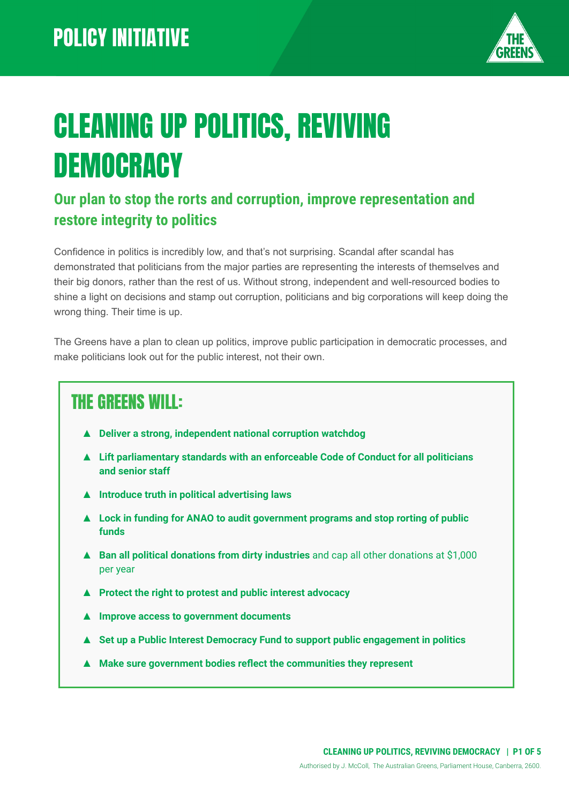

# CLEANING UP POLITICS, REVIVING **DEMOCRACY**

#### **Our plan to stop the rorts and corruption, improve representation and restore integrity to politics**

Confidence in politics is incredibly low, and that's not surprising. Scandal after scandal has demonstrated that politicians from the major parties are representing the interests of themselves and their big donors, rather than the rest of us. Without strong, independent and well-resourced bodies to shine a light on decisions and stamp out corruption, politicians and big corporations will keep doing the wrong thing. Their time is up.

The Greens have a plan to clean up politics, improve public participation in democratic processes, and make politicians look out for the public interest, not their own.

### THE GREENS WILL:

- **▲ Deliver a strong, independent national corruption watchdog**
- **▲ Lift parliamentary standards with an enforceable Code of Conduct for all politicians and senior staff**
- **▲ Introduce truth in political advertising laws**
- **▲ Lock in funding for ANAO to audit government programs and stop rorting of public funds**
- **▲ Ban all political donations from dirty industries** and cap all other donations at \$1,000 per year
- **▲ Protect the right to protest and public interest advocacy**
- **▲ Improve access to government documents**
- **▲ Set up a Public Interest Democracy Fund to support public engagement in politics**
- **▲ Make sure government bodies reflect the communities they represent**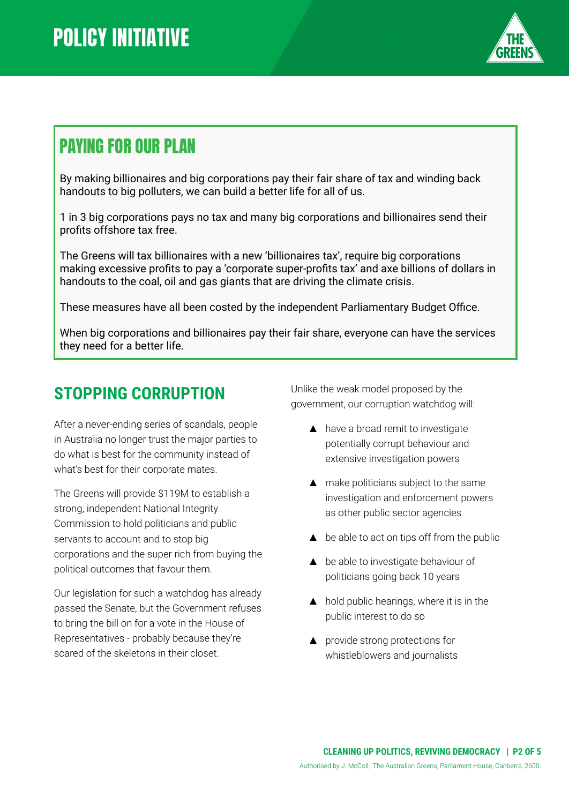

### PAYING FOR OUR PLAN

By making billionaires and big corporations pay their fair share of tax and winding back handouts to big polluters, we can build a better life for all of us.

1 in 3 big corporations pays no tax and many big corporations and billionaires send their profits offshore tax free.

The Greens will tax billionaires with a new 'billionaires tax', require big corporations making excessive profits to pay a 'corporate super-profits tax' and axe billions of dollars in handouts to the coal, oil and gas giants that are driving the climate crisis.

These measures have all been costed by the independent Parliamentary Budget Office.

When big corporations and billionaires pay their fair share, everyone can have the services they need for a better life.

### **STOPPING CORRUPTION**

After a never-ending series of scandals, people in Australia no longer trust the major parties to do what is best for the community instead of what's best for their corporate mates.

The Greens will provide \$119M to establish a strong, independent National Integrity Commission to hold politicians and public servants to account and to stop big corporations and the super rich from buying the political outcomes that favour them.

Our legislation for such a watchdog has already passed the Senate, but the Government refuses to bring the bill on for a vote in the House of Representatives - probably because they're scared of the skeletons in their closet.

Unlike the weak model proposed by the government, our corruption watchdog will:

- ▲ have a broad remit to investigate potentially corrupt behaviour and extensive investigation powers
- ▲ make politicians subject to the same investigation and enforcement powers as other public sector agencies
- $\triangle$  be able to act on tips off from the public
- ▲ be able to investigate behaviour of politicians going back 10 years
- ▲ hold public hearings, where it is in the public interest to do so
- ▲ provide strong protections for whistleblowers and journalists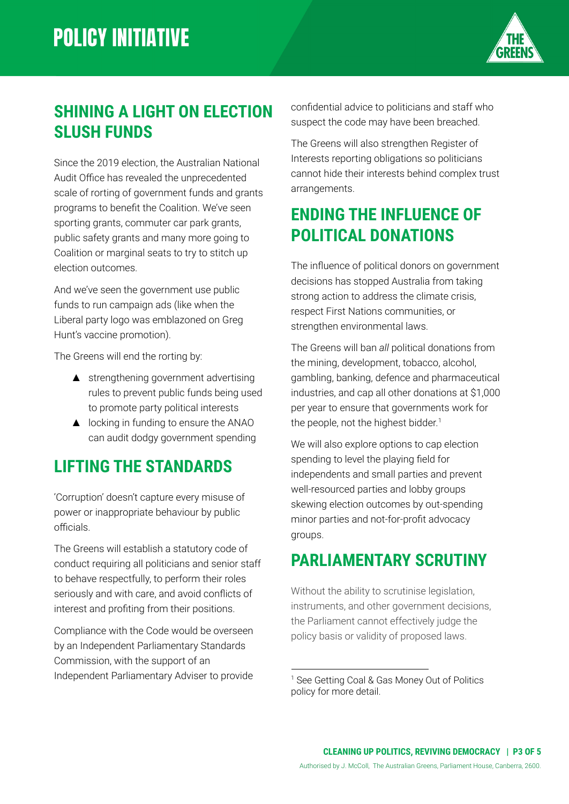

### **SHINING A LIGHT ON ELECTION SLUSH FUNDS**

Since the 2019 election, the Australian National Audit Office has revealed the unprecedented scale of rorting of government funds and grants programs to benefit the Coalition. We've seen sporting grants, commuter car park grants, public safety grants and many more going to Coalition or marginal seats to try to stitch up election outcomes.

And we've seen the government use public funds to run campaign ads (like when the Liberal party logo was emblazoned on Greg Hunt's vaccine promotion).

The Greens will end the rorting by:

- ▲ strengthening government advertising rules to prevent public funds being used to promote party political interests
- ▲ locking in funding to ensure the ANAO can audit dodgy government spending

### **LIFTING THE STANDARDS**

'Corruption' doesn't capture every misuse of power or inappropriate behaviour by public officials.

The Greens will establish a statutory code of conduct requiring all politicians and senior staff to behave respectfully, to perform their roles seriously and with care, and avoid conflicts of interest and profiting from their positions.

Compliance with the Code would be overseen by an Independent Parliamentary Standards Commission, with the support of an Independent Parliamentary Adviser to provide

confidential advice to politicians and staff who suspect the code may have been breached.

The Greens will also strengthen Register of Interests reporting obligations so politicians cannot hide their interests behind complex trust arrangements.

### **ENDING THE INFLUENCE OF POLITICAL DONATIONS**

The influence of political donors on government decisions has stopped Australia from taking strong action to address the climate crisis, respect First Nations communities, or strengthen environmental laws.

The Greens will ban *all* political donations from the mining, development, tobacco, alcohol, gambling, banking, defence and pharmaceutical industries, and cap all other donations at \$1,000 per year to ensure that governments work for the people, not the highest bidder. 1

We will also explore options to cap election spending to level the playing field for independents and small parties and prevent well-resourced parties and lobby groups skewing election outcomes by out-spending minor parties and not-for-profit advocacy groups.

### **PARLIAMENTARY SCRUTINY**

Without the ability to scrutinise legislation, instruments, and other government decisions, the Parliament cannot effectively judge the policy basis or validity of proposed laws.

<sup>&</sup>lt;sup>1</sup> See Getting Coal & Gas Money Out of Politics policy for more detail.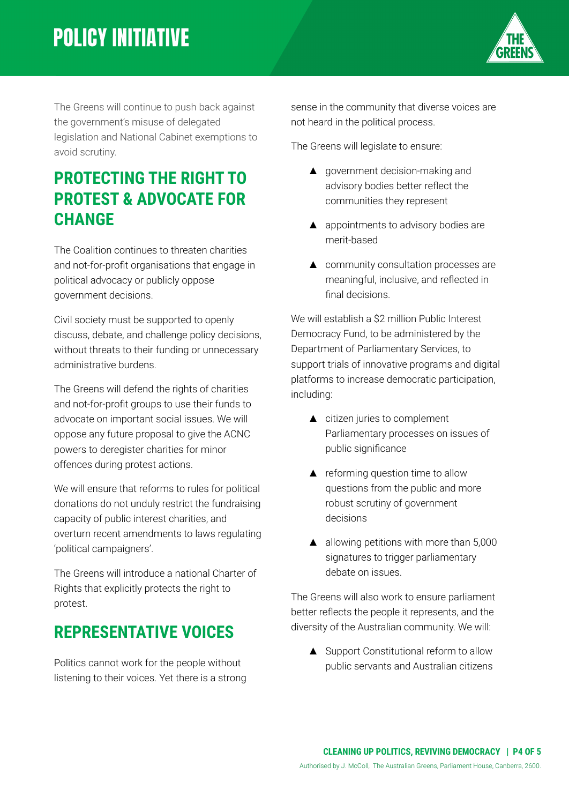## **POLICY INITIATIVE**



The Greens will continue to push back against the government's misuse of delegated legislation and National Cabinet exemptions to avoid scrutiny.

### **PROTECTING THE RIGHT TO PROTEST & ADVOCATE FOR CHANGE**

The Coalition continues to threaten charities and not-for-profit organisations that engage in political advocacy or publicly oppose government decisions.

Civil society must be supported to openly discuss, debate, and challenge policy decisions, without threats to their funding or unnecessary administrative burdens.

The Greens will defend the rights of charities and not-for-profit groups to use their funds to advocate on important social issues. We will oppose any future proposal to give the ACNC powers to deregister charities for minor offences during protest actions.

We will ensure that reforms to rules for political donations do not unduly restrict the fundraising capacity of public interest charities, and overturn recent amendments to laws regulating 'political campaigners'.

The Greens will introduce a national Charter of Rights that explicitly protects the right to protest.

### **REPRESENTATIVE VOICES**

Politics cannot work for the people without listening to their voices. Yet there is a strong

sense in the community that diverse voices are not heard in the political process.

The Greens will legislate to ensure:

- ▲ government decision-making and advisory bodies better reflect the communities they represent
- ▲ appointments to advisory bodies are merit-based
- ▲ community consultation processes are meaningful, inclusive, and reflected in final decisions.

We will establish a \$2 million Public Interest Democracy Fund, to be administered by the Department of Parliamentary Services, to support trials of innovative programs and digital platforms to increase democratic participation, including:

- ▲ citizen juries to complement Parliamentary processes on issues of public significance
- ▲ reforming question time to allow questions from the public and more robust scrutiny of government decisions
- $\triangle$  allowing petitions with more than 5,000 signatures to trigger parliamentary debate on issues.

The Greens will also work to ensure parliament better reflects the people it represents, and the diversity of the Australian community. We will:

▲ Support Constitutional reform to allow public servants and Australian citizens